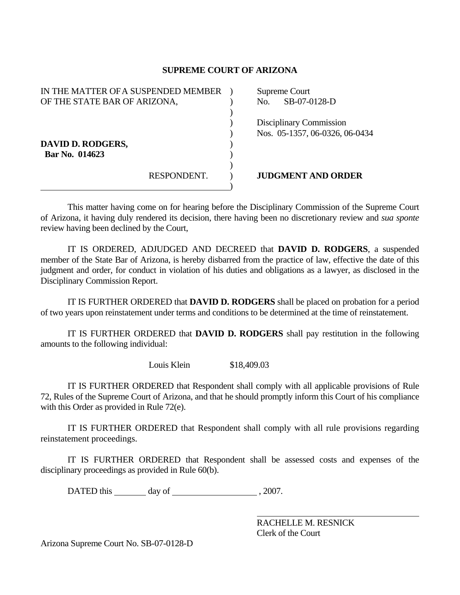## **SUPREME COURT OF ARIZONA**

| IN THE MATTER OF A SUSPENDED MEMBER | Supreme Court                  |
|-------------------------------------|--------------------------------|
| OF THE STATE BAR OF ARIZONA,        | SB-07-0128-D<br>No.            |
|                                     |                                |
|                                     | Disciplinary Commission        |
|                                     | Nos. 05-1357, 06-0326, 06-0434 |
| DAVID D. RODGERS,                   |                                |
| Bar No. 014623                      |                                |
|                                     |                                |
| RESPONDENT.                         | <b>JUDGMENT AND ORDER</b>      |
|                                     |                                |

 This matter having come on for hearing before the Disciplinary Commission of the Supreme Court of Arizona, it having duly rendered its decision, there having been no discretionary review and *sua sponte* review having been declined by the Court,

 IT IS ORDERED, ADJUDGED AND DECREED that **DAVID D. RODGERS**, a suspended member of the State Bar of Arizona, is hereby disbarred from the practice of law, effective the date of this judgment and order, for conduct in violation of his duties and obligations as a lawyer, as disclosed in the Disciplinary Commission Report.

 IT IS FURTHER ORDERED that **DAVID D. RODGERS** shall be placed on probation for a period of two years upon reinstatement under terms and conditions to be determined at the time of reinstatement.

 IT IS FURTHER ORDERED that **DAVID D. RODGERS** shall pay restitution in the following amounts to the following individual:

Louis Klein \$18,409.03

 IT IS FURTHER ORDERED that Respondent shall comply with all applicable provisions of Rule 72, Rules of the Supreme Court of Arizona, and that he should promptly inform this Court of his compliance with this Order as provided in Rule 72(e).

 IT IS FURTHER ORDERED that Respondent shall comply with all rule provisions regarding reinstatement proceedings.

 IT IS FURTHER ORDERED that Respondent shall be assessed costs and expenses of the disciplinary proceedings as provided in Rule 60(b).

DATED this day of  $\frac{1}{2007}$ .

 RACHELLE M. RESNICK Clerk of the Court

Arizona Supreme Court No. SB-07-0128-D